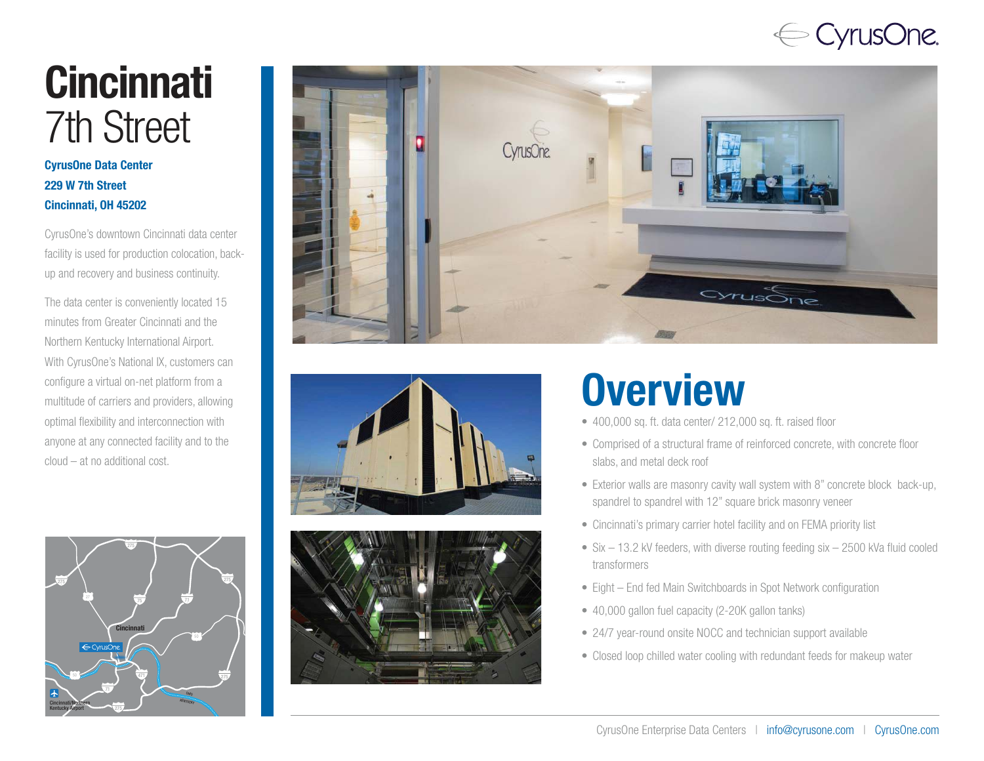## $\Leftarrow$  CyrusOne.

# **Cincinnati** 7th Street

#### CyrusOne Data Center 229 W 7th Street Cincinnati, OH 45202

CyrusOne's downtown Cincinnati data center facility is used for production colocation, backup and recovery and business continuity.

The data center is conveniently located 15 minutes from Greater Cincinnati and the Northern Kentucky International Airport. With CyrusOne's National IX, customers can configure a virtual on-net platform from a multitude of carriers and providers, allowing optimal flexibility and interconnection with anyone at any connected facility and to the cloud – at no additional cost.









## **Overview**

- 400,000 sq. ft. data center/ 212,000 sq. ft. raised floor
- Comprised of a structural frame of reinforced concrete, with concrete floor slabs, and metal deck roof
- Exterior walls are masonry cavity wall system with 8" concrete block back-up, spandrel to spandrel with 12" square brick masonry veneer
- Cincinnati's primary carrier hotel facility and on FEMA priority list
- Six 13.2 kV feeders, with diverse routing feeding six 2500 kVa fluid cooled transformers
- Eight End fed Main Switchboards in Spot Network configuration
- 40,000 gallon fuel capacity (2-20K gallon tanks)
- 24/7 year-round onsite NOCC and technician support available
- Closed loop chilled water cooling with redundant feeds for makeup water